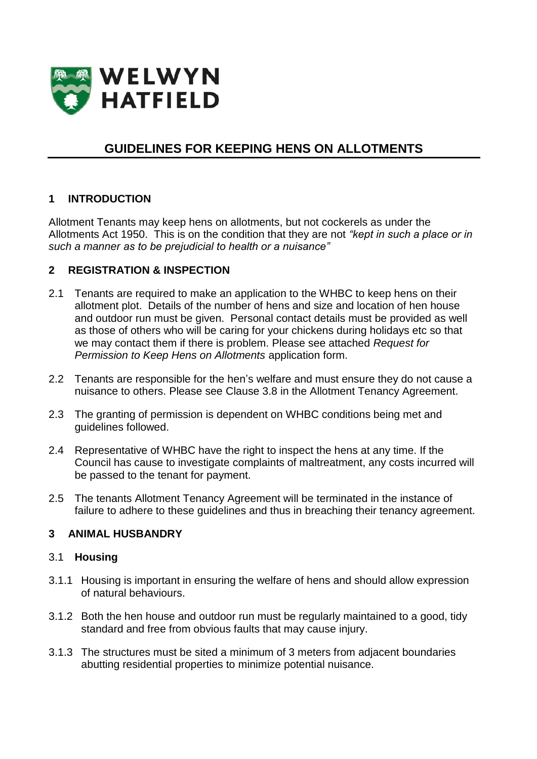

# **GUIDELINES FOR KEEPING HENS ON ALLOTMENTS**

### **1 INTRODUCTION**

Allotment Tenants may keep hens on allotments, but not cockerels as under the Allotments Act 1950. This is on the condition that they are not *"kept in such a place or in such a manner as to be prejudicial to health or a nuisance"*

### **2 REGISTRATION & INSPECTION**

- 2.1 Tenants are required to make an application to the WHBC to keep hens on their allotment plot. Details of the number of hens and size and location of hen house and outdoor run must be given. Personal contact details must be provided as well as those of others who will be caring for your chickens during holidays etc so that we may contact them if there is problem. Please see attached *Request for Permission to Keep Hens on Allotments* application form.
- 2.2 Tenants are responsible for the hen's welfare and must ensure they do not cause a nuisance to others. Please see Clause 3.8 in the Allotment Tenancy Agreement.
- 2.3 The granting of permission is dependent on WHBC conditions being met and guidelines followed.
- 2.4 Representative of WHBC have the right to inspect the hens at any time. If the Council has cause to investigate complaints of maltreatment, any costs incurred will be passed to the tenant for payment.
- 2.5 The tenants Allotment Tenancy Agreement will be terminated in the instance of failure to adhere to these guidelines and thus in breaching their tenancy agreement.

### **3 ANIMAL HUSBANDRY**

#### 3.1 **Housing**

- 3.1.1 Housing is important in ensuring the welfare of hens and should allow expression of natural behaviours.
- 3.1.2 Both the hen house and outdoor run must be regularly maintained to a good, tidy standard and free from obvious faults that may cause injury.
- 3.1.3 The structures must be sited a minimum of 3 meters from adjacent boundaries abutting residential properties to minimize potential nuisance.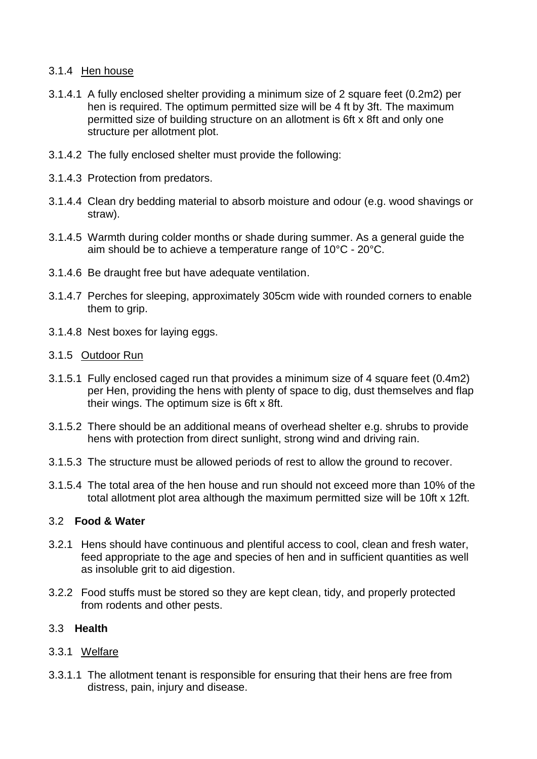## 3.1.4 Hen house

- 3.1.4.1 A fully enclosed shelter providing a minimum size of 2 square feet (0.2m2) per hen is required. The optimum permitted size will be 4 ft by 3ft. The maximum permitted size of building structure on an allotment is 6ft x 8ft and only one structure per allotment plot.
- 3.1.4.2 The fully enclosed shelter must provide the following:
- 3.1.4.3 Protection from predators.
- 3.1.4.4 Clean dry bedding material to absorb moisture and odour (e.g. wood shavings or straw).
- 3.1.4.5 Warmth during colder months or shade during summer. As a general guide the aim should be to achieve a temperature range of 10°C - 20°C.
- 3.1.4.6 Be draught free but have adequate ventilation.
- 3.1.4.7 Perches for sleeping, approximately 305cm wide with rounded corners to enable them to grip.
- 3.1.4.8 Nest boxes for laying eggs.
- 3.1.5 Outdoor Run
- 3.1.5.1 Fully enclosed caged run that provides a minimum size of 4 square feet (0.4m2) per Hen, providing the hens with plenty of space to dig, dust themselves and flap their wings. The optimum size is 6ft x 8ft.
- 3.1.5.2 There should be an additional means of overhead shelter e.g. shrubs to provide hens with protection from direct sunlight, strong wind and driving rain.
- 3.1.5.3 The structure must be allowed periods of rest to allow the ground to recover.
- 3.1.5.4 The total area of the hen house and run should not exceed more than 10% of the total allotment plot area although the maximum permitted size will be 10ft x 12ft.

### 3.2 **Food & Water**

- 3.2.1 Hens should have continuous and plentiful access to cool, clean and fresh water, feed appropriate to the age and species of hen and in sufficient quantities as well as insoluble grit to aid digestion.
- 3.2.2 Food stuffs must be stored so they are kept clean, tidy, and properly protected from rodents and other pests.

### 3.3 **Health**

### 3.3.1 Welfare

3.3.1.1 The allotment tenant is responsible for ensuring that their hens are free from distress, pain, injury and disease.